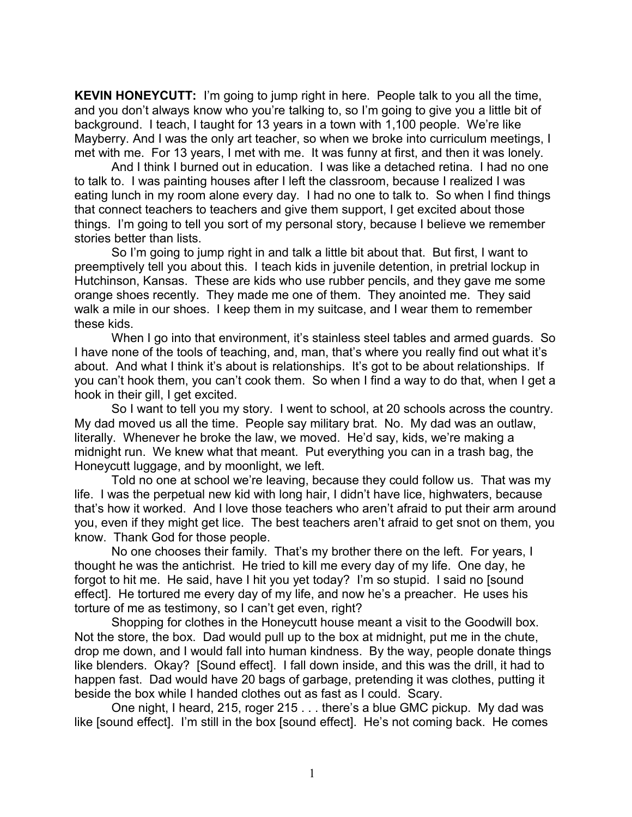**KEVIN HONEYCUTT:** I'm going to jump right in here. People talk to you all the time, and you don't always know who you're talking to, so I'm going to give you a little bit of background. I teach, I taught for 13 years in a town with 1,100 people. We're like Mayberry. And I was the only art teacher, so when we broke into curriculum meetings, I met with me. For 13 years, I met with me. It was funny at first, and then it was lonely.

And I think I burned out in education. I was like a detached retina. I had no one to talk to. I was painting houses after I left the classroom, because I realized I was eating lunch in my room alone every day. I had no one to talk to. So when I find things that connect teachers to teachers and give them support, I get excited about those things. I'm going to tell you sort of my personal story, because I believe we remember stories better than lists.

So I'm going to jump right in and talk a little bit about that. But first, I want to preemptively tell you about this. I teach kids in juvenile detention, in pretrial lockup in Hutchinson, Kansas. These are kids who use rubber pencils, and they gave me some orange shoes recently. They made me one of them. They anointed me. They said walk a mile in our shoes. I keep them in my suitcase, and I wear them to remember these kids.

When I go into that environment, it's stainless steel tables and armed guards. So I have none of the tools of teaching, and, man, that's where you really find out what it's about. And what I think it's about is relationships. It's got to be about relationships. If you can't hook them, you can't cook them. So when I find a way to do that, when I get a hook in their gill, I get excited.

So I want to tell you my story. I went to school, at 20 schools across the country. My dad moved us all the time. People say military brat. No. My dad was an outlaw, literally. Whenever he broke the law, we moved. He'd say, kids, we're making a midnight run. We knew what that meant. Put everything you can in a trash bag, the Honeycutt luggage, and by moonlight, we left.

Told no one at school we're leaving, because they could follow us. That was my life. I was the perpetual new kid with long hair, I didn't have lice, highwaters, because that's how it worked. And I love those teachers who aren't afraid to put their arm around you, even if they might get lice. The best teachers aren't afraid to get snot on them, you know. Thank God for those people.

No one chooses their family. That's my brother there on the left. For years, I thought he was the antichrist. He tried to kill me every day of my life. One day, he forgot to hit me. He said, have I hit you yet today? I'm so stupid. I said no [sound effect]. He tortured me every day of my life, and now he's a preacher. He uses his torture of me as testimony, so I can't get even, right?

Shopping for clothes in the Honeycutt house meant a visit to the Goodwill box. Not the store, the box. Dad would pull up to the box at midnight, put me in the chute, drop me down, and I would fall into human kindness. By the way, people donate things like blenders. Okay? [Sound effect]. I fall down inside, and this was the drill, it had to happen fast. Dad would have 20 bags of garbage, pretending it was clothes, putting it beside the box while I handed clothes out as fast as I could. Scary.

One night, I heard, 215, roger 215 . . . there's a blue GMC pickup. My dad was like [sound effect]. I'm still in the box [sound effect]. He's not coming back. He comes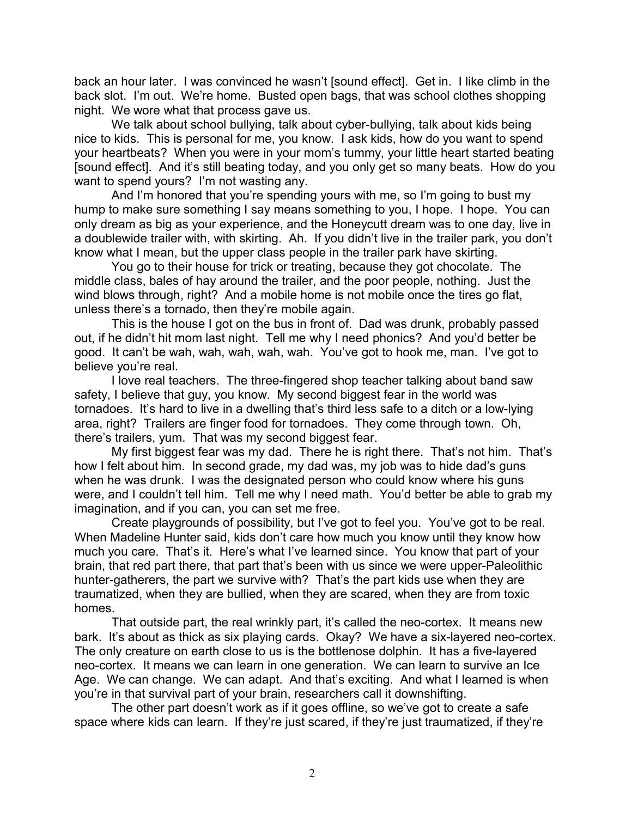back an hour later. I was convinced he wasn't [sound effect]. Get in. I like climb in the back slot. I'm out. We're home. Busted open bags, that was school clothes shopping night. We wore what that process gave us.

We talk about school bullying, talk about cyber-bullying, talk about kids being nice to kids. This is personal for me, you know. I ask kids, how do you want to spend your heartbeats? When you were in your mom's tummy, your little heart started beating [sound effect]. And it's still beating today, and you only get so many beats. How do you want to spend yours? I'm not wasting any.

And I'm honored that you're spending yours with me, so I'm going to bust my hump to make sure something I say means something to you, I hope. I hope. You can only dream as big as your experience, and the Honeycutt dream was to one day, live in a doublewide trailer with, with skirting. Ah. If you didn't live in the trailer park, you don't know what I mean, but the upper class people in the trailer park have skirting.

You go to their house for trick or treating, because they got chocolate. The middle class, bales of hay around the trailer, and the poor people, nothing. Just the wind blows through, right? And a mobile home is not mobile once the tires go flat, unless there's a tornado, then they're mobile again.

This is the house I got on the bus in front of. Dad was drunk, probably passed out, if he didn't hit mom last night. Tell me why I need phonics? And you'd better be good. It can't be wah, wah, wah, wah, wah. You've got to hook me, man. I've got to believe you're real.

I love real teachers. The three-fingered shop teacher talking about band saw safety, I believe that guy, you know. My second biggest fear in the world was tornadoes. It's hard to live in a dwelling that's third less safe to a ditch or a low-lying area, right? Trailers are finger food for tornadoes. They come through town. Oh, there's trailers, yum. That was my second biggest fear.

My first biggest fear was my dad. There he is right there. That's not him. That's how I felt about him. In second grade, my dad was, my job was to hide dad's guns when he was drunk. I was the designated person who could know where his guns were, and I couldn't tell him. Tell me why I need math. You'd better be able to grab my imagination, and if you can, you can set me free.

Create playgrounds of possibility, but I've got to feel you. You've got to be real. When Madeline Hunter said, kids don't care how much you know until they know how much you care. That's it. Here's what I've learned since. You know that part of your brain, that red part there, that part that's been with us since we were upper-Paleolithic hunter-gatherers, the part we survive with? That's the part kids use when they are traumatized, when they are bullied, when they are scared, when they are from toxic homes.

That outside part, the real wrinkly part, it's called the neo-cortex. It means new bark. It's about as thick as six playing cards. Okay? We have a six-layered neo-cortex. The only creature on earth close to us is the bottlenose dolphin. It has a five-layered neo-cortex. It means we can learn in one generation. We can learn to survive an Ice Age. We can change. We can adapt. And that's exciting. And what I learned is when you're in that survival part of your brain, researchers call it downshifting.

The other part doesn't work as if it goes offline, so we've got to create a safe space where kids can learn. If they're just scared, if they're just traumatized, if they're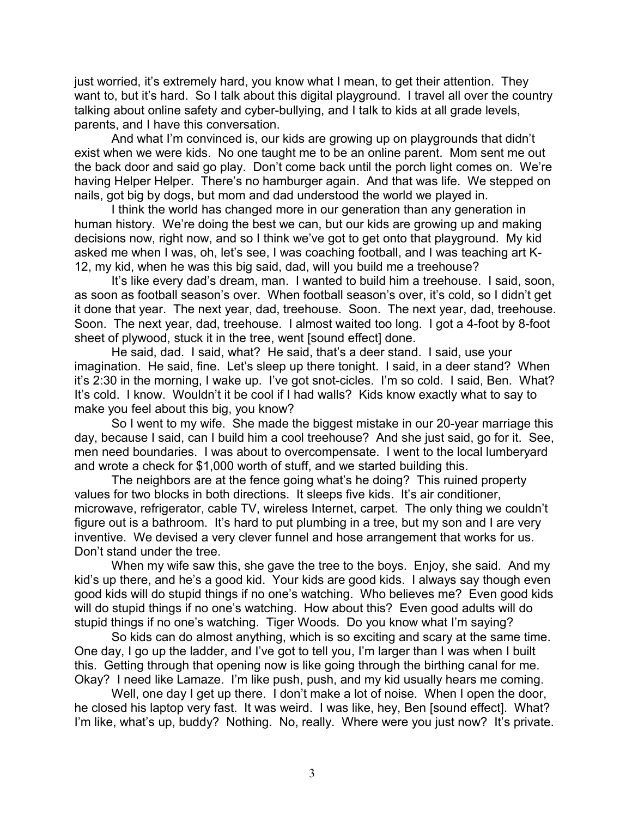just worried, it's extremely hard, you know what I mean, to get their attention. They want to, but it's hard. So I talk about this digital playground. I travel all over the country talking about online safety and cyber-bullying, and I talk to kids at all grade levels, parents, and I have this conversation.

And what I'm convinced is, our kids are growing up on playgrounds that didn't exist when we were kids. No one taught me to be an online parent. Mom sent me out the back door and said go play. Don't come back until the porch light comes on. We're having Helper Helper. There's no hamburger again. And that was life. We stepped on nails, got big by dogs, but mom and dad understood the world we played in.

I think the world has changed more in our generation than any generation in human history. We're doing the best we can, but our kids are growing up and making decisions now, right now, and so I think we've got to get onto that playground. My kid asked me when I was, oh, let's see, I was coaching football, and I was teaching art K-12, my kid, when he was this big said, dad, will you build me a treehouse?

It's like every dad's dream, man. I wanted to build him a treehouse. I said, soon, as soon as football season's over. When football season's over, it's cold, so I didn't get it done that year. The next year, dad, treehouse. Soon. The next year, dad, treehouse. Soon. The next year, dad, treehouse. I almost waited too long. I got a 4-foot by 8-foot sheet of plywood, stuck it in the tree, went [sound effect] done.

He said, dad. I said, what? He said, that's a deer stand. I said, use your imagination. He said, fine. Let's sleep up there tonight. I said, in a deer stand? When it's 2:30 in the morning, I wake up. I've got snot-cicles. I'm so cold. I said, Ben. What? It's cold. I know. Wouldn't it be cool if I had walls? Kids know exactly what to say to make you feel about this big, you know?

So I went to my wife. She made the biggest mistake in our 20-year marriage this day, because I said, can I build him a cool treehouse? And she just said, go for it. See, men need boundaries. I was about to overcompensate. I went to the local lumberyard and wrote a check for \$1,000 worth of stuff, and we started building this.

The neighbors are at the fence going what's he doing? This ruined property values for two blocks in both directions. It sleeps five kids. It's air conditioner, microwave, refrigerator, cable TV, wireless Internet, carpet. The only thing we couldn't figure out is a bathroom. It's hard to put plumbing in a tree, but my son and I are very inventive. We devised a very clever funnel and hose arrangement that works for us. Don't stand under the tree.

When my wife saw this, she gave the tree to the boys. Enjoy, she said. And my kid's up there, and he's a good kid. Your kids are good kids. I always say though even good kids will do stupid things if no one's watching. Who believes me? Even good kids will do stupid things if no one's watching. How about this? Even good adults will do stupid things if no one's watching. Tiger Woods. Do you know what I'm saying?

So kids can do almost anything, which is so exciting and scary at the same time. One day, I go up the ladder, and I've got to tell you, I'm larger than I was when I built this. Getting through that opening now is like going through the birthing canal for me. Okay? I need like Lamaze. I'm like push, push, and my kid usually hears me coming.

Well, one day I get up there. I don't make a lot of noise. When I open the door, he closed his laptop very fast. It was weird. I was like, hey, Ben [sound effect]. What? I'm like, what's up, buddy? Nothing. No, really. Where were you just now? It's private.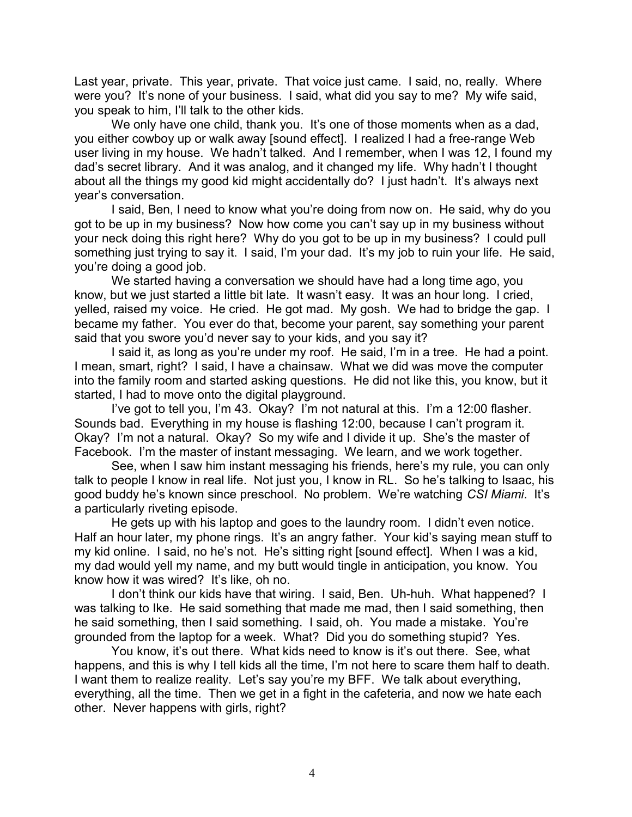Last year, private. This year, private. That voice just came. I said, no, really. Where were you? It's none of your business. I said, what did you say to me? My wife said, you speak to him, I'll talk to the other kids.

We only have one child, thank you. It's one of those moments when as a dad, you either cowboy up or walk away [sound effect]. I realized I had a free-range Web user living in my house. We hadn't talked. And I remember, when I was 12, I found my dad's secret library. And it was analog, and it changed my life. Why hadn't I thought about all the things my good kid might accidentally do? I just hadn't. It's always next year's conversation.

I said, Ben, I need to know what you're doing from now on. He said, why do you got to be up in my business? Now how come you can't say up in my business without your neck doing this right here? Why do you got to be up in my business? I could pull something just trying to say it. I said, I'm your dad. It's my job to ruin your life. He said, you're doing a good job.

We started having a conversation we should have had a long time ago, you know, but we just started a little bit late. It wasn't easy. It was an hour long. I cried, yelled, raised my voice. He cried. He got mad. My gosh. We had to bridge the gap. I became my father. You ever do that, become your parent, say something your parent said that you swore you'd never say to your kids, and you say it?

I said it, as long as you're under my roof. He said, I'm in a tree. He had a point. I mean, smart, right? I said, I have a chainsaw. What we did was move the computer into the family room and started asking questions. He did not like this, you know, but it started, I had to move onto the digital playground.

I've got to tell you, I'm 43. Okay? I'm not natural at this. I'm a 12:00 flasher. Sounds bad. Everything in my house is flashing 12:00, because I can't program it. Okay? I'm not a natural. Okay? So my wife and I divide it up. She's the master of Facebook. I'm the master of instant messaging. We learn, and we work together.

See, when I saw him instant messaging his friends, here's my rule, you can only talk to people I know in real life. Not just you, I know in RL. So he's talking to Isaac, his good buddy he's known since preschool. No problem. We're watching *CSI Miami*. It's a particularly riveting episode.

He gets up with his laptop and goes to the laundry room. I didn't even notice. Half an hour later, my phone rings. It's an angry father. Your kid's saying mean stuff to my kid online. I said, no he's not. He's sitting right [sound effect]. When I was a kid, my dad would yell my name, and my butt would tingle in anticipation, you know. You know how it was wired? It's like, oh no.

I don't think our kids have that wiring. I said, Ben. Uh-huh. What happened? I was talking to Ike. He said something that made me mad, then I said something, then he said something, then I said something. I said, oh. You made a mistake. You're grounded from the laptop for a week. What? Did you do something stupid? Yes.

You know, it's out there. What kids need to know is it's out there. See, what happens, and this is why I tell kids all the time, I'm not here to scare them half to death. I want them to realize reality. Let's say you're my BFF. We talk about everything, everything, all the time. Then we get in a fight in the cafeteria, and now we hate each other. Never happens with girls, right?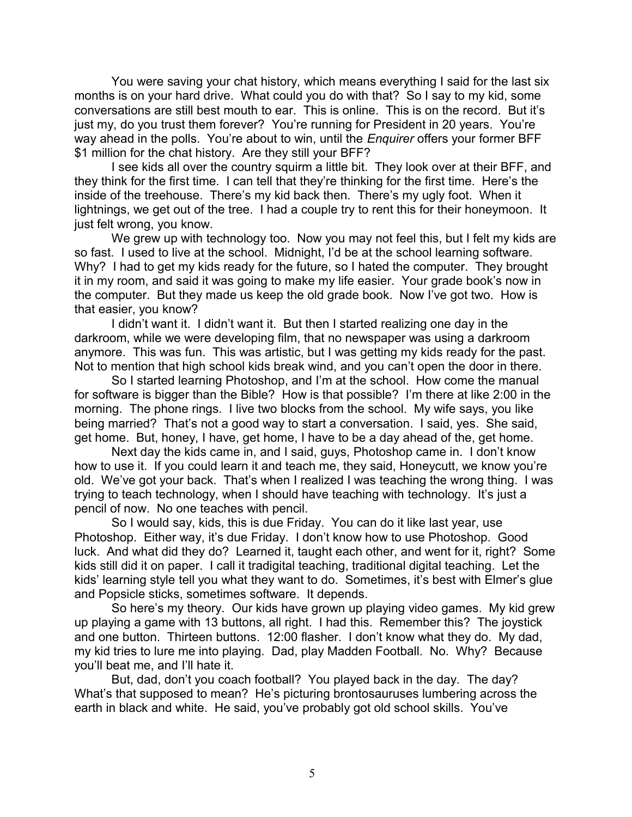You were saving your chat history, which means everything I said for the last six months is on your hard drive. What could you do with that? So I say to my kid, some conversations are still best mouth to ear. This is online. This is on the record. But it's just my, do you trust them forever? You're running for President in 20 years. You're way ahead in the polls. You're about to win, until the *Enquirer* offers your former BFF \$1 million for the chat history. Are they still your BFF?

I see kids all over the country squirm a little bit. They look over at their BFF, and they think for the first time. I can tell that they're thinking for the first time. Here's the inside of the treehouse. There's my kid back then. There's my ugly foot. When it lightnings, we get out of the tree. I had a couple try to rent this for their honeymoon. It just felt wrong, you know.

We grew up with technology too. Now you may not feel this, but I felt my kids are so fast. I used to live at the school. Midnight, I'd be at the school learning software. Why? I had to get my kids ready for the future, so I hated the computer. They brought it in my room, and said it was going to make my life easier. Your grade book's now in the computer. But they made us keep the old grade book. Now I've got two. How is that easier, you know?

I didn't want it. I didn't want it. But then I started realizing one day in the darkroom, while we were developing film, that no newspaper was using a darkroom anymore. This was fun. This was artistic, but I was getting my kids ready for the past. Not to mention that high school kids break wind, and you can't open the door in there.

So I started learning Photoshop, and I'm at the school. How come the manual for software is bigger than the Bible? How is that possible? I'm there at like 2:00 in the morning. The phone rings. I live two blocks from the school. My wife says, you like being married? That's not a good way to start a conversation. I said, yes. She said, get home. But, honey, I have, get home, I have to be a day ahead of the, get home.

Next day the kids came in, and I said, guys, Photoshop came in. I don't know how to use it. If you could learn it and teach me, they said, Honeycutt, we know you're old. We've got your back. That's when I realized I was teaching the wrong thing. I was trying to teach technology, when I should have teaching with technology. It's just a pencil of now. No one teaches with pencil.

So I would say, kids, this is due Friday. You can do it like last year, use Photoshop. Either way, it's due Friday. I don't know how to use Photoshop. Good luck. And what did they do? Learned it, taught each other, and went for it, right? Some kids still did it on paper. I call it tradigital teaching, traditional digital teaching. Let the kids' learning style tell you what they want to do. Sometimes, it's best with Elmer's glue and Popsicle sticks, sometimes software. It depends.

So here's my theory. Our kids have grown up playing video games. My kid grew up playing a game with 13 buttons, all right. I had this. Remember this? The joystick and one button. Thirteen buttons. 12:00 flasher. I don't know what they do. My dad, my kid tries to lure me into playing. Dad, play Madden Football. No. Why? Because you'll beat me, and I'll hate it.

But, dad, don't you coach football? You played back in the day. The day? What's that supposed to mean? He's picturing brontosauruses lumbering across the earth in black and white. He said, you've probably got old school skills. You've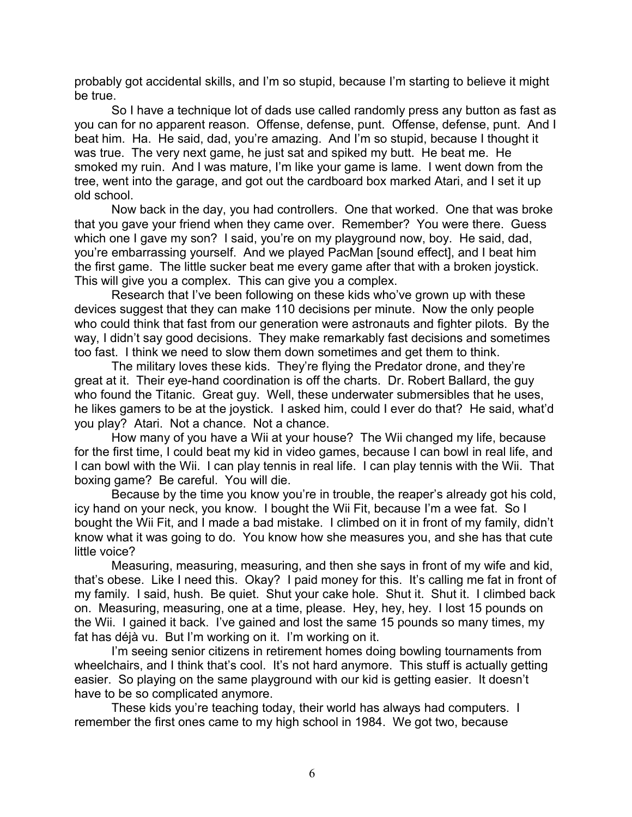probably got accidental skills, and I'm so stupid, because I'm starting to believe it might be true.

So I have a technique lot of dads use called randomly press any button as fast as you can for no apparent reason. Offense, defense, punt. Offense, defense, punt. And I beat him. Ha. He said, dad, you're amazing. And I'm so stupid, because I thought it was true. The very next game, he just sat and spiked my butt. He beat me. He smoked my ruin. And I was mature, I'm like your game is lame. I went down from the tree, went into the garage, and got out the cardboard box marked Atari, and I set it up old school.

Now back in the day, you had controllers. One that worked. One that was broke that you gave your friend when they came over. Remember? You were there. Guess which one I gave my son? I said, you're on my playground now, boy. He said, dad, you're embarrassing yourself. And we played PacMan [sound effect], and I beat him the first game. The little sucker beat me every game after that with a broken joystick. This will give you a complex. This can give you a complex.

Research that I've been following on these kids who've grown up with these devices suggest that they can make 110 decisions per minute. Now the only people who could think that fast from our generation were astronauts and fighter pilots. By the way, I didn't say good decisions. They make remarkably fast decisions and sometimes too fast. I think we need to slow them down sometimes and get them to think.

The military loves these kids. They're flying the Predator drone, and they're great at it. Their eye-hand coordination is off the charts. Dr. Robert Ballard, the guy who found the Titanic. Great guy. Well, these underwater submersibles that he uses, he likes gamers to be at the joystick. I asked him, could I ever do that? He said, what'd you play? Atari. Not a chance. Not a chance.

How many of you have a Wii at your house? The Wii changed my life, because for the first time, I could beat my kid in video games, because I can bowl in real life, and I can bowl with the Wii. I can play tennis in real life. I can play tennis with the Wii. That boxing game? Be careful. You will die.

Because by the time you know you're in trouble, the reaper's already got his cold, icy hand on your neck, you know. I bought the Wii Fit, because I'm a wee fat. So I bought the Wii Fit, and I made a bad mistake. I climbed on it in front of my family, didn't know what it was going to do. You know how she measures you, and she has that cute little voice?

Measuring, measuring, measuring, and then she says in front of my wife and kid, that's obese. Like I need this. Okay? I paid money for this. It's calling me fat in front of my family. I said, hush. Be quiet. Shut your cake hole. Shut it. Shut it. I climbed back on. Measuring, measuring, one at a time, please. Hey, hey, hey. I lost 15 pounds on the Wii. I gained it back. I've gained and lost the same 15 pounds so many times, my fat has déjà vu. But I'm working on it. I'm working on it.

I'm seeing senior citizens in retirement homes doing bowling tournaments from wheelchairs, and I think that's cool. It's not hard anymore. This stuff is actually getting easier. So playing on the same playground with our kid is getting easier. It doesn't have to be so complicated anymore.

These kids you're teaching today, their world has always had computers. I remember the first ones came to my high school in 1984. We got two, because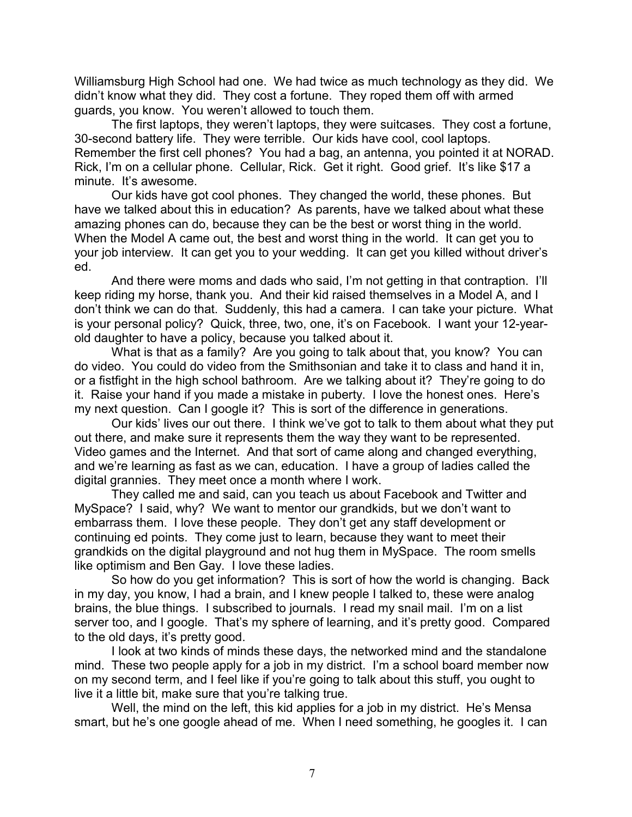Williamsburg High School had one. We had twice as much technology as they did. We didn't know what they did. They cost a fortune. They roped them off with armed guards, you know. You weren't allowed to touch them.

The first laptops, they weren't laptops, they were suitcases. They cost a fortune, 30-second battery life. They were terrible. Our kids have cool, cool laptops. Remember the first cell phones? You had a bag, an antenna, you pointed it at NORAD. Rick, I'm on a cellular phone. Cellular, Rick. Get it right. Good grief. It's like \$17 a minute. It's awesome.

Our kids have got cool phones. They changed the world, these phones. But have we talked about this in education? As parents, have we talked about what these amazing phones can do, because they can be the best or worst thing in the world. When the Model A came out, the best and worst thing in the world. It can get you to your job interview. It can get you to your wedding. It can get you killed without driver's ed.

And there were moms and dads who said, I'm not getting in that contraption. I'll keep riding my horse, thank you. And their kid raised themselves in a Model A, and I don't think we can do that. Suddenly, this had a camera. I can take your picture. What is your personal policy? Quick, three, two, one, it's on Facebook. I want your 12-yearold daughter to have a policy, because you talked about it.

What is that as a family? Are you going to talk about that, you know? You can do video. You could do video from the Smithsonian and take it to class and hand it in, or a fistfight in the high school bathroom. Are we talking about it? They're going to do it. Raise your hand if you made a mistake in puberty. I love the honest ones. Here's my next question. Can I google it? This is sort of the difference in generations.

Our kids' lives our out there. I think we've got to talk to them about what they put out there, and make sure it represents them the way they want to be represented. Video games and the Internet. And that sort of came along and changed everything, and we're learning as fast as we can, education. I have a group of ladies called the digital grannies. They meet once a month where I work.

They called me and said, can you teach us about Facebook and Twitter and MySpace? I said, why? We want to mentor our grandkids, but we don't want to embarrass them. I love these people. They don't get any staff development or continuing ed points. They come just to learn, because they want to meet their grandkids on the digital playground and not hug them in MySpace. The room smells like optimism and Ben Gay. I love these ladies.

So how do you get information? This is sort of how the world is changing. Back in my day, you know, I had a brain, and I knew people I talked to, these were analog brains, the blue things. I subscribed to journals. I read my snail mail. I'm on a list server too, and I google. That's my sphere of learning, and it's pretty good. Compared to the old days, it's pretty good.

I look at two kinds of minds these days, the networked mind and the standalone mind. These two people apply for a job in my district. I'm a school board member now on my second term, and I feel like if you're going to talk about this stuff, you ought to live it a little bit, make sure that you're talking true.

Well, the mind on the left, this kid applies for a job in my district. He's Mensa smart, but he's one google ahead of me. When I need something, he googles it. I can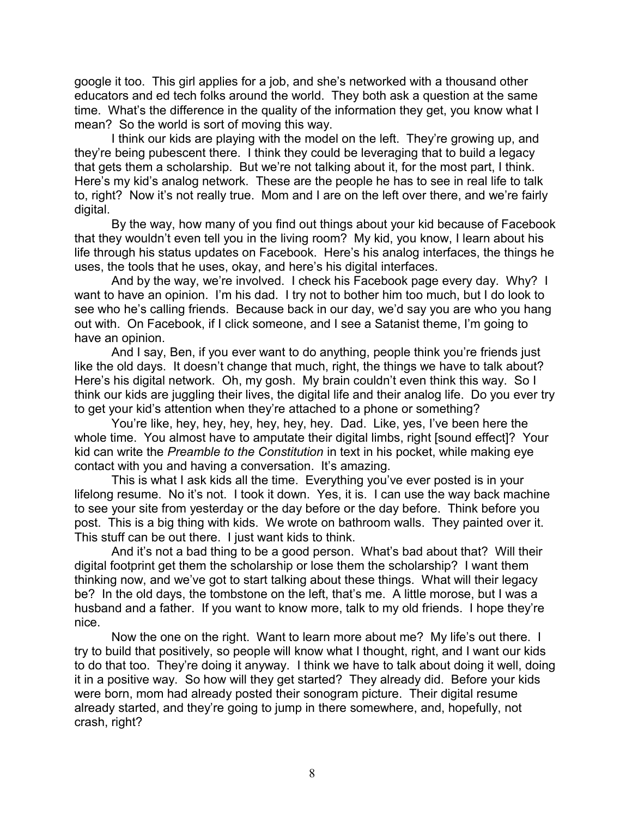google it too. This girl applies for a job, and she's networked with a thousand other educators and ed tech folks around the world. They both ask a question at the same time. What's the difference in the quality of the information they get, you know what I mean? So the world is sort of moving this way.

I think our kids are playing with the model on the left. They're growing up, and they're being pubescent there. I think they could be leveraging that to build a legacy that gets them a scholarship. But we're not talking about it, for the most part, I think. Here's my kid's analog network. These are the people he has to see in real life to talk to, right? Now it's not really true. Mom and I are on the left over there, and we're fairly digital.

By the way, how many of you find out things about your kid because of Facebook that they wouldn't even tell you in the living room? My kid, you know, I learn about his life through his status updates on Facebook. Here's his analog interfaces, the things he uses, the tools that he uses, okay, and here's his digital interfaces.

And by the way, we're involved. I check his Facebook page every day. Why? I want to have an opinion. I'm his dad. I try not to bother him too much, but I do look to see who he's calling friends. Because back in our day, we'd say you are who you hang out with. On Facebook, if I click someone, and I see a Satanist theme, I'm going to have an opinion.

And I say, Ben, if you ever want to do anything, people think you're friends just like the old days. It doesn't change that much, right, the things we have to talk about? Here's his digital network. Oh, my gosh. My brain couldn't even think this way. So I think our kids are juggling their lives, the digital life and their analog life. Do you ever try to get your kid's attention when they're attached to a phone or something?

You're like, hey, hey, hey, hey, hey, hey. Dad. Like, yes, I've been here the whole time. You almost have to amputate their digital limbs, right [sound effect]? Your kid can write the *Preamble to the Constitution* in text in his pocket, while making eye contact with you and having a conversation. It's amazing.

This is what I ask kids all the time. Everything you've ever posted is in your lifelong resume. No it's not. I took it down. Yes, it is. I can use the way back machine to see your site from yesterday or the day before or the day before. Think before you post. This is a big thing with kids. We wrote on bathroom walls. They painted over it. This stuff can be out there. I just want kids to think.

And it's not a bad thing to be a good person. What's bad about that? Will their digital footprint get them the scholarship or lose them the scholarship? I want them thinking now, and we've got to start talking about these things. What will their legacy be? In the old days, the tombstone on the left, that's me. A little morose, but I was a husband and a father. If you want to know more, talk to my old friends. I hope they're nice.

Now the one on the right. Want to learn more about me? My life's out there. I try to build that positively, so people will know what I thought, right, and I want our kids to do that too. They're doing it anyway. I think we have to talk about doing it well, doing it in a positive way. So how will they get started? They already did. Before your kids were born, mom had already posted their sonogram picture. Their digital resume already started, and they're going to jump in there somewhere, and, hopefully, not crash, right?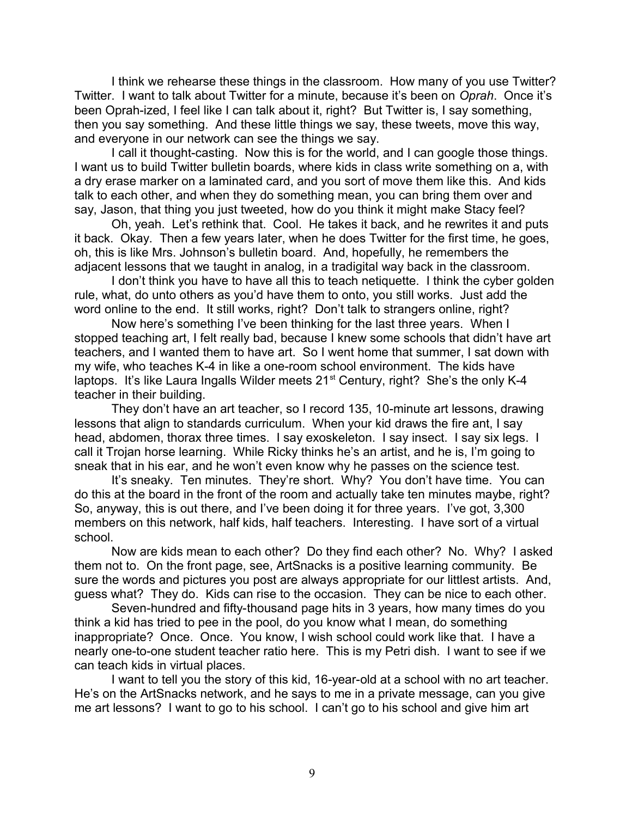I think we rehearse these things in the classroom. How many of you use Twitter? Twitter. I want to talk about Twitter for a minute, because it's been on *Oprah*. Once it's been Oprah-ized, I feel like I can talk about it, right? But Twitter is, I say something, then you say something. And these little things we say, these tweets, move this way, and everyone in our network can see the things we say.

I call it thought-casting. Now this is for the world, and I can google those things. I want us to build Twitter bulletin boards, where kids in class write something on a, with a dry erase marker on a laminated card, and you sort of move them like this. And kids talk to each other, and when they do something mean, you can bring them over and say, Jason, that thing you just tweeted, how do you think it might make Stacy feel?

Oh, yeah. Let's rethink that. Cool. He takes it back, and he rewrites it and puts it back. Okay. Then a few years later, when he does Twitter for the first time, he goes, oh, this is like Mrs. Johnson's bulletin board. And, hopefully, he remembers the adjacent lessons that we taught in analog, in a tradigital way back in the classroom.

I don't think you have to have all this to teach netiquette. I think the cyber golden rule, what, do unto others as you'd have them to onto, you still works. Just add the word online to the end. It still works, right? Don't talk to strangers online, right?

Now here's something I've been thinking for the last three years. When I stopped teaching art, I felt really bad, because I knew some schools that didn't have art teachers, and I wanted them to have art. So I went home that summer, I sat down with my wife, who teaches K-4 in like a one-room school environment. The kids have laptops. It's like Laura Ingalls Wilder meets 21<sup>st</sup> Century, right? She's the only K-4 teacher in their building.

They don't have an art teacher, so I record 135, 10-minute art lessons, drawing lessons that align to standards curriculum. When your kid draws the fire ant, I say head, abdomen, thorax three times. I say exoskeleton. I say insect. I say six legs. I call it Trojan horse learning. While Ricky thinks he's an artist, and he is, I'm going to sneak that in his ear, and he won't even know why he passes on the science test.

It's sneaky. Ten minutes. They're short. Why? You don't have time. You can do this at the board in the front of the room and actually take ten minutes maybe, right? So, anyway, this is out there, and I've been doing it for three years. I've got, 3,300 members on this network, half kids, half teachers. Interesting. I have sort of a virtual school.

Now are kids mean to each other? Do they find each other? No. Why? I asked them not to. On the front page, see, ArtSnacks is a positive learning community. Be sure the words and pictures you post are always appropriate for our littlest artists. And, guess what? They do. Kids can rise to the occasion. They can be nice to each other.

Seven-hundred and fifty-thousand page hits in 3 years, how many times do you think a kid has tried to pee in the pool, do you know what I mean, do something inappropriate? Once. Once. You know, I wish school could work like that. I have a nearly one-to-one student teacher ratio here. This is my Petri dish. I want to see if we can teach kids in virtual places.

I want to tell you the story of this kid, 16-year-old at a school with no art teacher. He's on the ArtSnacks network, and he says to me in a private message, can you give me art lessons? I want to go to his school. I can't go to his school and give him art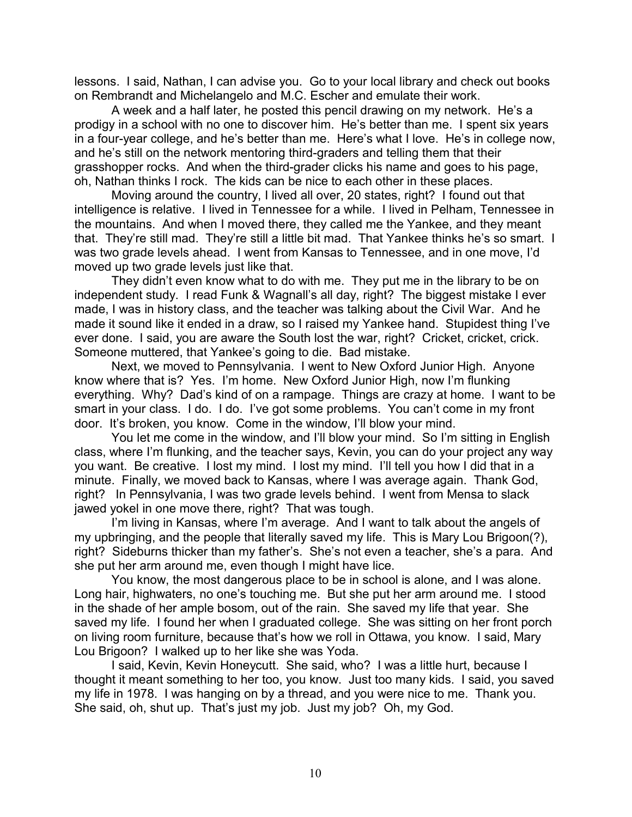lessons. I said, Nathan, I can advise you. Go to your local library and check out books on Rembrandt and Michelangelo and M.C. Escher and emulate their work.

A week and a half later, he posted this pencil drawing on my network. He's a prodigy in a school with no one to discover him. He's better than me. I spent six years in a four-year college, and he's better than me. Here's what I love. He's in college now, and he's still on the network mentoring third-graders and telling them that their grasshopper rocks. And when the third-grader clicks his name and goes to his page, oh, Nathan thinks I rock. The kids can be nice to each other in these places.

Moving around the country, I lived all over, 20 states, right? I found out that intelligence is relative. I lived in Tennessee for a while. I lived in Pelham, Tennessee in the mountains. And when I moved there, they called me the Yankee, and they meant that. They're still mad. They're still a little bit mad. That Yankee thinks he's so smart. I was two grade levels ahead. I went from Kansas to Tennessee, and in one move, I'd moved up two grade levels just like that.

They didn't even know what to do with me. They put me in the library to be on independent study. I read Funk & Wagnall's all day, right? The biggest mistake I ever made, I was in history class, and the teacher was talking about the Civil War. And he made it sound like it ended in a draw, so I raised my Yankee hand. Stupidest thing I've ever done. I said, you are aware the South lost the war, right? Cricket, cricket, crick. Someone muttered, that Yankee's going to die. Bad mistake.

Next, we moved to Pennsylvania. I went to New Oxford Junior High. Anyone know where that is? Yes. I'm home. New Oxford Junior High, now I'm flunking everything. Why? Dad's kind of on a rampage. Things are crazy at home. I want to be smart in your class. I do. I do. I've got some problems. You can't come in my front door. It's broken, you know. Come in the window, I'll blow your mind.

You let me come in the window, and I'll blow your mind. So I'm sitting in English class, where I'm flunking, and the teacher says, Kevin, you can do your project any way you want. Be creative. I lost my mind. I lost my mind. I'll tell you how I did that in a minute. Finally, we moved back to Kansas, where I was average again. Thank God, right? In Pennsylvania, I was two grade levels behind. I went from Mensa to slack jawed yokel in one move there, right? That was tough.

I'm living in Kansas, where I'm average. And I want to talk about the angels of my upbringing, and the people that literally saved my life. This is Mary Lou Brigoon(?), right? Sideburns thicker than my father's. She's not even a teacher, she's a para. And she put her arm around me, even though I might have lice.

You know, the most dangerous place to be in school is alone, and I was alone. Long hair, highwaters, no one's touching me. But she put her arm around me. I stood in the shade of her ample bosom, out of the rain. She saved my life that year. She saved my life. I found her when I graduated college. She was sitting on her front porch on living room furniture, because that's how we roll in Ottawa, you know. I said, Mary Lou Brigoon? I walked up to her like she was Yoda.

I said, Kevin, Kevin Honeycutt. She said, who? I was a little hurt, because I thought it meant something to her too, you know. Just too many kids. I said, you saved my life in 1978. I was hanging on by a thread, and you were nice to me. Thank you. She said, oh, shut up. That's just my job. Just my job? Oh, my God.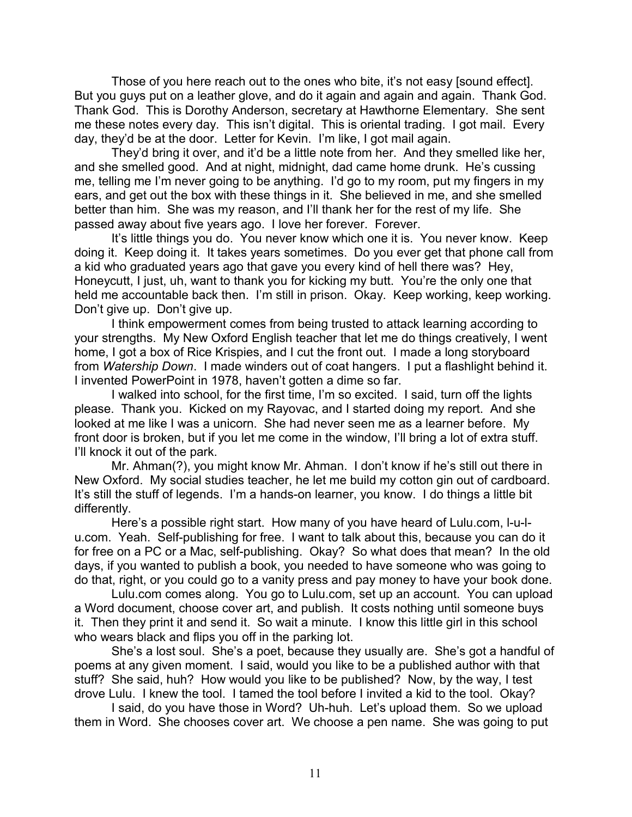Those of you here reach out to the ones who bite, it's not easy [sound effect]. But you guys put on a leather glove, and do it again and again and again. Thank God. Thank God. This is Dorothy Anderson, secretary at Hawthorne Elementary. She sent me these notes every day. This isn't digital. This is oriental trading. I got mail. Every day, they'd be at the door. Letter for Kevin. I'm like, I got mail again.

They'd bring it over, and it'd be a little note from her. And they smelled like her, and she smelled good. And at night, midnight, dad came home drunk. He's cussing me, telling me I'm never going to be anything. I'd go to my room, put my fingers in my ears, and get out the box with these things in it. She believed in me, and she smelled better than him. She was my reason, and I'll thank her for the rest of my life. She passed away about five years ago. I love her forever. Forever.

It's little things you do. You never know which one it is. You never know. Keep doing it. Keep doing it. It takes years sometimes. Do you ever get that phone call from a kid who graduated years ago that gave you every kind of hell there was? Hey, Honeycutt, I just, uh, want to thank you for kicking my butt. You're the only one that held me accountable back then. I'm still in prison. Okay. Keep working, keep working. Don't give up. Don't give up.

I think empowerment comes from being trusted to attack learning according to your strengths. My New Oxford English teacher that let me do things creatively, I went home, I got a box of Rice Krispies, and I cut the front out. I made a long storyboard from *Watership Down*. I made winders out of coat hangers. I put a flashlight behind it. I invented PowerPoint in 1978, haven't gotten a dime so far.

I walked into school, for the first time, I'm so excited. I said, turn off the lights please. Thank you. Kicked on my Rayovac, and I started doing my report. And she looked at me like I was a unicorn. She had never seen me as a learner before. My front door is broken, but if you let me come in the window, I'll bring a lot of extra stuff. I'll knock it out of the park.

Mr. Ahman(?), you might know Mr. Ahman. I don't know if he's still out there in New Oxford. My social studies teacher, he let me build my cotton gin out of cardboard. It's still the stuff of legends. I'm a hands-on learner, you know. I do things a little bit differently.

Here's a possible right start. How many of you have heard of Lulu.com, l-u-lu.com. Yeah. Self-publishing for free. I want to talk about this, because you can do it for free on a PC or a Mac, self-publishing. Okay? So what does that mean? In the old days, if you wanted to publish a book, you needed to have someone who was going to do that, right, or you could go to a vanity press and pay money to have your book done.

Lulu.com comes along. You go to Lulu.com, set up an account. You can upload a Word document, choose cover art, and publish. It costs nothing until someone buys it. Then they print it and send it. So wait a minute. I know this little girl in this school who wears black and flips you off in the parking lot.

She's a lost soul. She's a poet, because they usually are. She's got a handful of poems at any given moment. I said, would you like to be a published author with that stuff? She said, huh? How would you like to be published? Now, by the way, I test drove Lulu. I knew the tool. I tamed the tool before I invited a kid to the tool. Okay?

I said, do you have those in Word? Uh-huh. Let's upload them. So we upload them in Word. She chooses cover art. We choose a pen name. She was going to put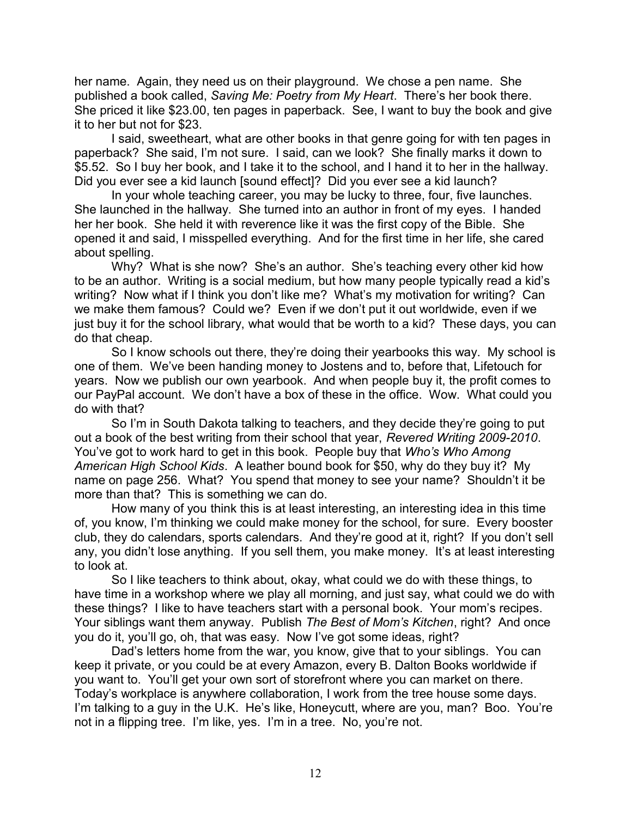her name. Again, they need us on their playground. We chose a pen name. She published a book called, *Saving Me: Poetry from My Heart*. There's her book there. She priced it like \$23.00, ten pages in paperback. See, I want to buy the book and give it to her but not for \$23.

I said, sweetheart, what are other books in that genre going for with ten pages in paperback? She said, I'm not sure. I said, can we look? She finally marks it down to \$5.52. So I buy her book, and I take it to the school, and I hand it to her in the hallway. Did you ever see a kid launch [sound effect]? Did you ever see a kid launch?

In your whole teaching career, you may be lucky to three, four, five launches. She launched in the hallway. She turned into an author in front of my eyes. I handed her her book. She held it with reverence like it was the first copy of the Bible. She opened it and said, I misspelled everything. And for the first time in her life, she cared about spelling.

Why? What is she now? She's an author. She's teaching every other kid how to be an author. Writing is a social medium, but how many people typically read a kid's writing? Now what if I think you don't like me? What's my motivation for writing? Can we make them famous? Could we? Even if we don't put it out worldwide, even if we just buy it for the school library, what would that be worth to a kid? These days, you can do that cheap.

So I know schools out there, they're doing their yearbooks this way. My school is one of them. We've been handing money to Jostens and to, before that, Lifetouch for years. Now we publish our own yearbook. And when people buy it, the profit comes to our PayPal account. We don't have a box of these in the office. Wow. What could you do with that?

So I'm in South Dakota talking to teachers, and they decide they're going to put out a book of the best writing from their school that year, *Revered Writing 2009-2010*. You've got to work hard to get in this book. People buy that *Who's Who Among American High School Kids*. A leather bound book for \$50, why do they buy it? My name on page 256. What? You spend that money to see your name? Shouldn't it be more than that? This is something we can do.

How many of you think this is at least interesting, an interesting idea in this time of, you know, I'm thinking we could make money for the school, for sure. Every booster club, they do calendars, sports calendars. And they're good at it, right? If you don't sell any, you didn't lose anything. If you sell them, you make money. It's at least interesting to look at.

So I like teachers to think about, okay, what could we do with these things, to have time in a workshop where we play all morning, and just say, what could we do with these things? I like to have teachers start with a personal book. Your mom's recipes. Your siblings want them anyway. Publish *The Best of Mom's Kitchen*, right? And once you do it, you'll go, oh, that was easy. Now I've got some ideas, right?

Dad's letters home from the war, you know, give that to your siblings. You can keep it private, or you could be at every Amazon, every B. Dalton Books worldwide if you want to. You'll get your own sort of storefront where you can market on there. Today's workplace is anywhere collaboration, I work from the tree house some days. I'm talking to a guy in the U.K. He's like, Honeycutt, where are you, man? Boo. You're not in a flipping tree. I'm like, yes. I'm in a tree. No, you're not.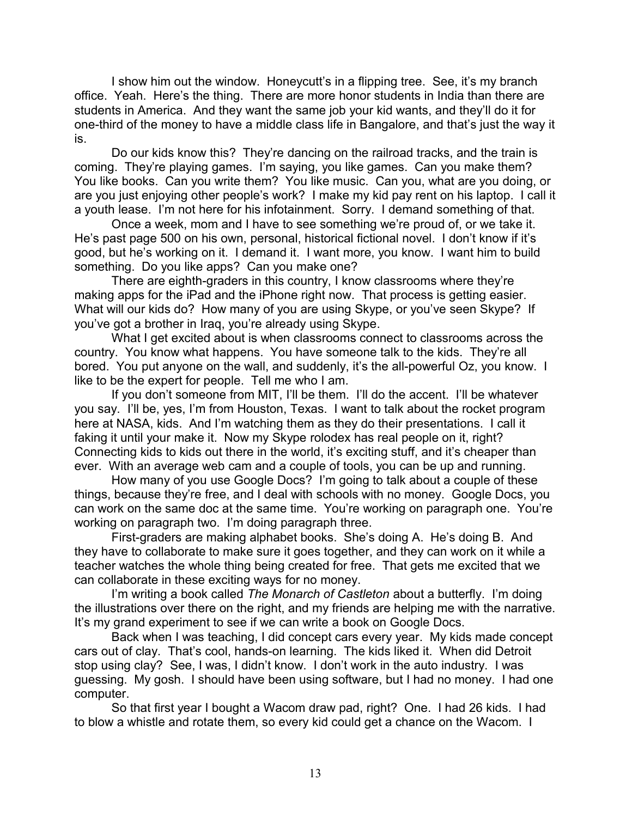I show him out the window. Honeycutt's in a flipping tree. See, it's my branch office. Yeah. Here's the thing. There are more honor students in India than there are students in America. And they want the same job your kid wants, and they'll do it for one-third of the money to have a middle class life in Bangalore, and that's just the way it is.

Do our kids know this? They're dancing on the railroad tracks, and the train is coming. They're playing games. I'm saying, you like games. Can you make them? You like books. Can you write them? You like music. Can you, what are you doing, or are you just enjoying other people's work? I make my kid pay rent on his laptop. I call it a youth lease. I'm not here for his infotainment. Sorry. I demand something of that.

Once a week, mom and I have to see something we're proud of, or we take it. He's past page 500 on his own, personal, historical fictional novel. I don't know if it's good, but he's working on it. I demand it. I want more, you know. I want him to build something. Do you like apps? Can you make one?

There are eighth-graders in this country, I know classrooms where they're making apps for the iPad and the iPhone right now. That process is getting easier. What will our kids do? How many of you are using Skype, or you've seen Skype? If you've got a brother in Iraq, you're already using Skype.

What I get excited about is when classrooms connect to classrooms across the country. You know what happens. You have someone talk to the kids. They're all bored. You put anyone on the wall, and suddenly, it's the all-powerful Oz, you know. I like to be the expert for people. Tell me who I am.

If you don't someone from MIT, I'll be them. I'll do the accent. I'll be whatever you say. I'll be, yes, I'm from Houston, Texas. I want to talk about the rocket program here at NASA, kids. And I'm watching them as they do their presentations. I call it faking it until your make it. Now my Skype rolodex has real people on it, right? Connecting kids to kids out there in the world, it's exciting stuff, and it's cheaper than ever. With an average web cam and a couple of tools, you can be up and running.

How many of you use Google Docs? I'm going to talk about a couple of these things, because they're free, and I deal with schools with no money. Google Docs, you can work on the same doc at the same time. You're working on paragraph one. You're working on paragraph two. I'm doing paragraph three.

First-graders are making alphabet books. She's doing A. He's doing B. And they have to collaborate to make sure it goes together, and they can work on it while a teacher watches the whole thing being created for free. That gets me excited that we can collaborate in these exciting ways for no money.

I'm writing a book called *The Monarch of Castleton* about a butterfly. I'm doing the illustrations over there on the right, and my friends are helping me with the narrative. It's my grand experiment to see if we can write a book on Google Docs.

Back when I was teaching, I did concept cars every year. My kids made concept cars out of clay. That's cool, hands-on learning. The kids liked it. When did Detroit stop using clay? See, I was, I didn't know. I don't work in the auto industry. I was guessing. My gosh. I should have been using software, but I had no money. I had one computer.

So that first year I bought a Wacom draw pad, right? One. I had 26 kids. I had to blow a whistle and rotate them, so every kid could get a chance on the Wacom. I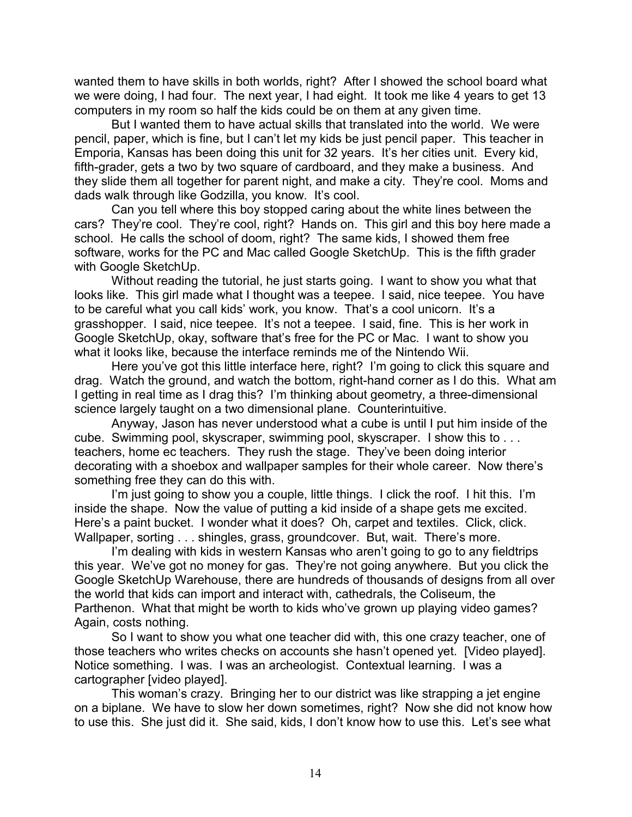wanted them to have skills in both worlds, right? After I showed the school board what we were doing, I had four. The next year, I had eight. It took me like 4 years to get 13 computers in my room so half the kids could be on them at any given time.

But I wanted them to have actual skills that translated into the world. We were pencil, paper, which is fine, but I can't let my kids be just pencil paper. This teacher in Emporia, Kansas has been doing this unit for 32 years. It's her cities unit. Every kid, fifth-grader, gets a two by two square of cardboard, and they make a business. And they slide them all together for parent night, and make a city. They're cool. Moms and dads walk through like Godzilla, you know. It's cool.

Can you tell where this boy stopped caring about the white lines between the cars? They're cool. They're cool, right? Hands on. This girl and this boy here made a school. He calls the school of doom, right? The same kids, I showed them free software, works for the PC and Mac called Google SketchUp. This is the fifth grader with Google SketchUp.

Without reading the tutorial, he just starts going. I want to show you what that looks like. This girl made what I thought was a teepee. I said, nice teepee. You have to be careful what you call kids' work, you know. That's a cool unicorn. It's a grasshopper. I said, nice teepee. It's not a teepee. I said, fine. This is her work in Google SketchUp, okay, software that's free for the PC or Mac. I want to show you what it looks like, because the interface reminds me of the Nintendo Wii.

Here you've got this little interface here, right? I'm going to click this square and drag. Watch the ground, and watch the bottom, right-hand corner as I do this. What am I getting in real time as I drag this? I'm thinking about geometry, a three-dimensional science largely taught on a two dimensional plane. Counterintuitive.

Anyway, Jason has never understood what a cube is until I put him inside of the cube. Swimming pool, skyscraper, swimming pool, skyscraper. I show this to . . . teachers, home ec teachers. They rush the stage. They've been doing interior decorating with a shoebox and wallpaper samples for their whole career. Now there's something free they can do this with.

I'm just going to show you a couple, little things. I click the roof. I hit this. I'm inside the shape. Now the value of putting a kid inside of a shape gets me excited. Here's a paint bucket. I wonder what it does? Oh, carpet and textiles. Click, click. Wallpaper, sorting . . . shingles, grass, groundcover. But, wait. There's more.

I'm dealing with kids in western Kansas who aren't going to go to any fieldtrips this year. We've got no money for gas. They're not going anywhere. But you click the Google SketchUp Warehouse, there are hundreds of thousands of designs from all over the world that kids can import and interact with, cathedrals, the Coliseum, the Parthenon. What that might be worth to kids who've grown up playing video games? Again, costs nothing.

So I want to show you what one teacher did with, this one crazy teacher, one of those teachers who writes checks on accounts she hasn't opened yet. [Video played]. Notice something. I was. I was an archeologist. Contextual learning. I was a cartographer [video played].

This woman's crazy. Bringing her to our district was like strapping a jet engine on a biplane. We have to slow her down sometimes, right? Now she did not know how to use this. She just did it. She said, kids, I don't know how to use this. Let's see what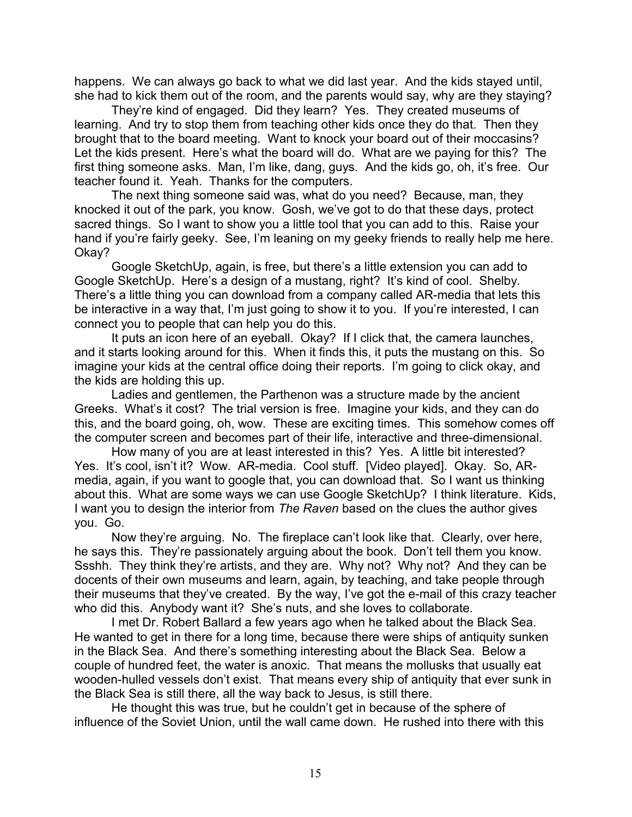happens. We can always go back to what we did last year. And the kids stayed until, she had to kick them out of the room, and the parents would say, why are they staying?

They're kind of engaged. Did they learn? Yes. They created museums of learning. And try to stop them from teaching other kids once they do that. Then they brought that to the board meeting. Want to knock your board out of their moccasins? Let the kids present. Here's what the board will do. What are we paying for this? The first thing someone asks. Man, I'm like, dang, guys. And the kids go, oh, it's free. Our teacher found it. Yeah. Thanks for the computers.

The next thing someone said was, what do you need? Because, man, they knocked it out of the park, you know. Gosh, we've got to do that these days, protect sacred things. So I want to show you a little tool that you can add to this. Raise your hand if you're fairly geeky. See, I'm leaning on my geeky friends to really help me here. Okay?

Google SketchUp, again, is free, but there's a little extension you can add to Google SketchUp. Here's a design of a mustang, right? It's kind of cool. Shelby. There's a little thing you can download from a company called AR-media that lets this be interactive in a way that, I'm just going to show it to you. If you're interested, I can connect you to people that can help you do this.

It puts an icon here of an eyeball. Okay? If I click that, the camera launches, and it starts looking around for this. When it finds this, it puts the mustang on this. So imagine your kids at the central office doing their reports. I'm going to click okay, and the kids are holding this up.

Ladies and gentlemen, the Parthenon was a structure made by the ancient Greeks. What's it cost? The trial version is free. Imagine your kids, and they can do this, and the board going, oh, wow. These are exciting times. This somehow comes off the computer screen and becomes part of their life, interactive and three-dimensional.

How many of you are at least interested in this? Yes. A little bit interested? Yes. It's cool, isn't it? Wow. AR-media. Cool stuff. [Video played]. Okay. So, ARmedia, again, if you want to google that, you can download that. So I want us thinking about this. What are some ways we can use Google SketchUp? I think literature. Kids, I want you to design the interior from *The Raven* based on the clues the author gives you. Go.

Now they're arguing. No. The fireplace can't look like that. Clearly, over here, he says this. They're passionately arguing about the book. Don't tell them you know. Ssshh. They think they're artists, and they are. Why not? Why not? And they can be docents of their own museums and learn, again, by teaching, and take people through their museums that they've created. By the way, I've got the e-mail of this crazy teacher who did this. Anybody want it? She's nuts, and she loves to collaborate.

I met Dr. Robert Ballard a few years ago when he talked about the Black Sea. He wanted to get in there for a long time, because there were ships of antiquity sunken in the Black Sea. And there's something interesting about the Black Sea. Below a couple of hundred feet, the water is anoxic. That means the mollusks that usually eat wooden-hulled vessels don't exist. That means every ship of antiquity that ever sunk in the Black Sea is still there, all the way back to Jesus, is still there.

He thought this was true, but he couldn't get in because of the sphere of influence of the Soviet Union, until the wall came down. He rushed into there with this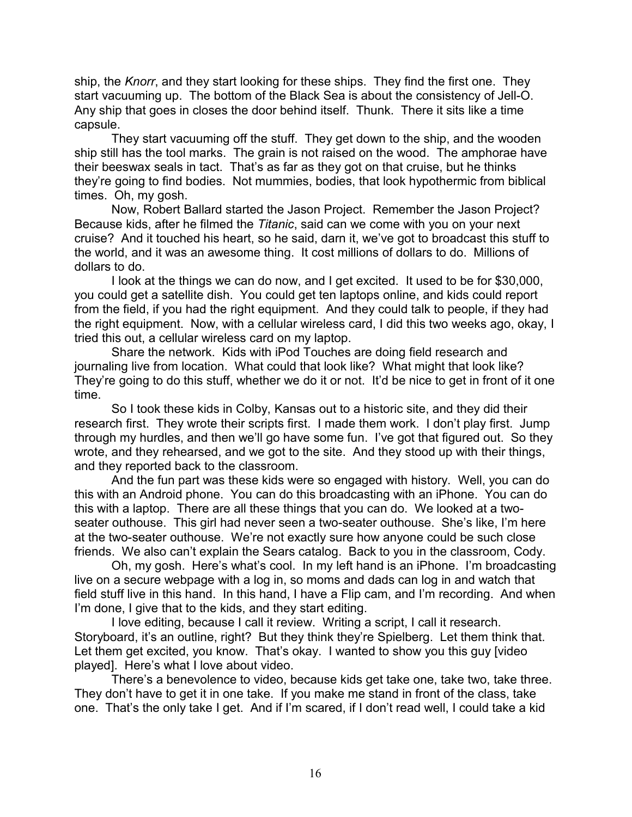ship, the *Knorr*, and they start looking for these ships. They find the first one. They start vacuuming up. The bottom of the Black Sea is about the consistency of Jell-O. Any ship that goes in closes the door behind itself. Thunk. There it sits like a time capsule.

They start vacuuming off the stuff. They get down to the ship, and the wooden ship still has the tool marks. The grain is not raised on the wood. The amphorae have their beeswax seals in tact. That's as far as they got on that cruise, but he thinks they're going to find bodies. Not mummies, bodies, that look hypothermic from biblical times. Oh, my gosh.

Now, Robert Ballard started the Jason Project. Remember the Jason Project? Because kids, after he filmed the *Titanic*, said can we come with you on your next cruise? And it touched his heart, so he said, darn it, we've got to broadcast this stuff to the world, and it was an awesome thing. It cost millions of dollars to do. Millions of dollars to do.

I look at the things we can do now, and I get excited. It used to be for \$30,000, you could get a satellite dish. You could get ten laptops online, and kids could report from the field, if you had the right equipment. And they could talk to people, if they had the right equipment. Now, with a cellular wireless card, I did this two weeks ago, okay, I tried this out, a cellular wireless card on my laptop.

Share the network. Kids with iPod Touches are doing field research and journaling live from location. What could that look like? What might that look like? They're going to do this stuff, whether we do it or not. It'd be nice to get in front of it one time.

So I took these kids in Colby, Kansas out to a historic site, and they did their research first. They wrote their scripts first. I made them work. I don't play first. Jump through my hurdles, and then we'll go have some fun. I've got that figured out. So they wrote, and they rehearsed, and we got to the site. And they stood up with their things, and they reported back to the classroom.

And the fun part was these kids were so engaged with history. Well, you can do this with an Android phone. You can do this broadcasting with an iPhone. You can do this with a laptop. There are all these things that you can do. We looked at a twoseater outhouse. This girl had never seen a two-seater outhouse. She's like, I'm here at the two-seater outhouse. We're not exactly sure how anyone could be such close friends. We also can't explain the Sears catalog. Back to you in the classroom, Cody.

Oh, my gosh. Here's what's cool. In my left hand is an iPhone. I'm broadcasting live on a secure webpage with a log in, so moms and dads can log in and watch that field stuff live in this hand. In this hand, I have a Flip cam, and I'm recording. And when I'm done, I give that to the kids, and they start editing.

I love editing, because I call it review. Writing a script, I call it research. Storyboard, it's an outline, right? But they think they're Spielberg. Let them think that. Let them get excited, you know. That's okay. I wanted to show you this guy [video played]. Here's what I love about video.

There's a benevolence to video, because kids get take one, take two, take three. They don't have to get it in one take. If you make me stand in front of the class, take one. That's the only take I get. And if I'm scared, if I don't read well, I could take a kid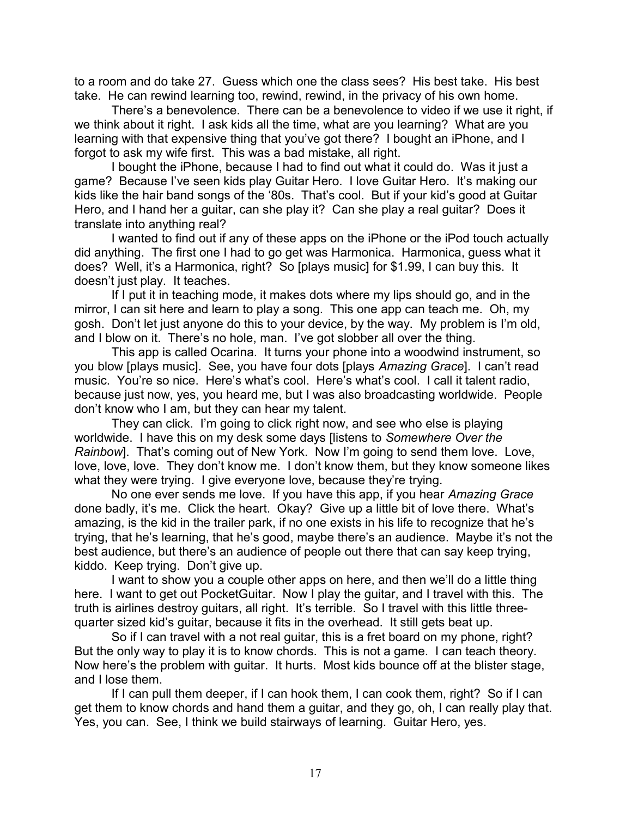to a room and do take 27. Guess which one the class sees? His best take. His best take. He can rewind learning too, rewind, rewind, in the privacy of his own home.

There's a benevolence. There can be a benevolence to video if we use it right, if we think about it right. I ask kids all the time, what are you learning? What are you learning with that expensive thing that you've got there? I bought an iPhone, and I forgot to ask my wife first. This was a bad mistake, all right.

I bought the iPhone, because I had to find out what it could do. Was it just a game? Because I've seen kids play Guitar Hero. I love Guitar Hero. It's making our kids like the hair band songs of the '80s. That's cool. But if your kid's good at Guitar Hero, and I hand her a guitar, can she play it? Can she play a real guitar? Does it translate into anything real?

I wanted to find out if any of these apps on the iPhone or the iPod touch actually did anything. The first one I had to go get was Harmonica. Harmonica, guess what it does? Well, it's a Harmonica, right? So [plays music] for \$1.99, I can buy this. It doesn't just play. It teaches.

If I put it in teaching mode, it makes dots where my lips should go, and in the mirror, I can sit here and learn to play a song. This one app can teach me. Oh, my gosh. Don't let just anyone do this to your device, by the way. My problem is I'm old, and I blow on it. There's no hole, man. I've got slobber all over the thing.

This app is called Ocarina. It turns your phone into a woodwind instrument, so you blow [plays music]. See, you have four dots [plays *Amazing Grace*]. I can't read music. You're so nice. Here's what's cool. Here's what's cool. I call it talent radio, because just now, yes, you heard me, but I was also broadcasting worldwide. People don't know who I am, but they can hear my talent.

They can click. I'm going to click right now, and see who else is playing worldwide. I have this on my desk some days [listens to *Somewhere Over the Rainbow*]. That's coming out of New York. Now I'm going to send them love. Love, love, love, love. They don't know me. I don't know them, but they know someone likes what they were trying. I give everyone love, because they're trying.

No one ever sends me love. If you have this app, if you hear *Amazing Grace* done badly, it's me. Click the heart. Okay? Give up a little bit of love there. What's amazing, is the kid in the trailer park, if no one exists in his life to recognize that he's trying, that he's learning, that he's good, maybe there's an audience. Maybe it's not the best audience, but there's an audience of people out there that can say keep trying, kiddo. Keep trying. Don't give up.

I want to show you a couple other apps on here, and then we'll do a little thing here. I want to get out PocketGuitar. Now I play the guitar, and I travel with this. The truth is airlines destroy guitars, all right. It's terrible. So I travel with this little threequarter sized kid's guitar, because it fits in the overhead. It still gets beat up.

So if I can travel with a not real guitar, this is a fret board on my phone, right? But the only way to play it is to know chords. This is not a game. I can teach theory. Now here's the problem with guitar. It hurts. Most kids bounce off at the blister stage, and I lose them.

If I can pull them deeper, if I can hook them, I can cook them, right? So if I can get them to know chords and hand them a guitar, and they go, oh, I can really play that. Yes, you can. See, I think we build stairways of learning. Guitar Hero, yes.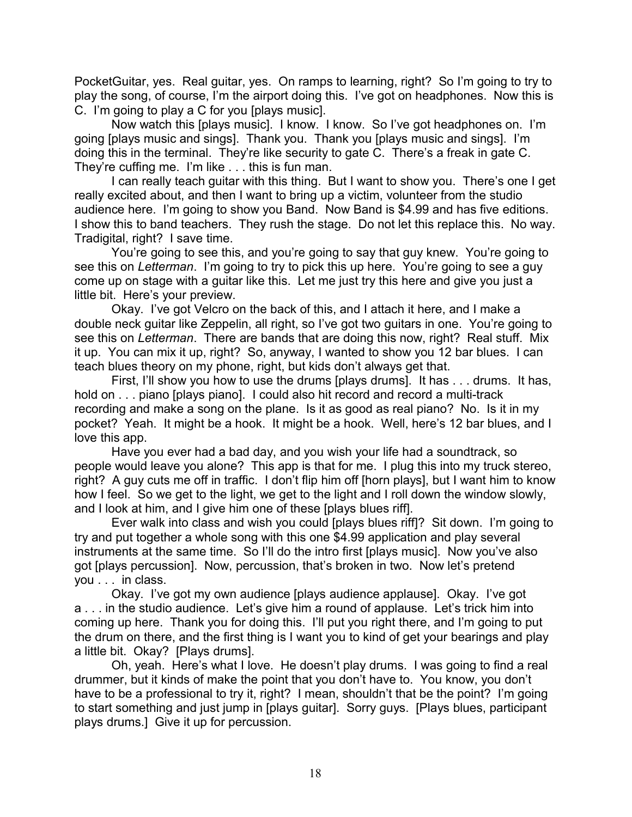PocketGuitar, yes. Real guitar, yes. On ramps to learning, right? So I'm going to try to play the song, of course, I'm the airport doing this. I've got on headphones. Now this is C. I'm going to play a C for you [plays music].

Now watch this [plays music]. I know. I know. So I've got headphones on. I'm going [plays music and sings]. Thank you. Thank you [plays music and sings]. I'm doing this in the terminal. They're like security to gate C. There's a freak in gate C. They're cuffing me. I'm like . . . this is fun man.

I can really teach guitar with this thing. But I want to show you. There's one I get really excited about, and then I want to bring up a victim, volunteer from the studio audience here. I'm going to show you Band. Now Band is \$4.99 and has five editions. I show this to band teachers. They rush the stage. Do not let this replace this. No way. Tradigital, right? I save time.

You're going to see this, and you're going to say that guy knew. You're going to see this on *Letterman*. I'm going to try to pick this up here. You're going to see a guy come up on stage with a guitar like this. Let me just try this here and give you just a little bit. Here's your preview.

Okay. I've got Velcro on the back of this, and I attach it here, and I make a double neck guitar like Zeppelin, all right, so I've got two guitars in one. You're going to see this on *Letterman*. There are bands that are doing this now, right? Real stuff. Mix it up. You can mix it up, right? So, anyway, I wanted to show you 12 bar blues. I can teach blues theory on my phone, right, but kids don't always get that.

First, I'll show you how to use the drums [plays drums]. It has . . . drums. It has, hold on . . . piano [plays piano]. I could also hit record and record a multi-track recording and make a song on the plane. Is it as good as real piano? No. Is it in my pocket? Yeah. It might be a hook. It might be a hook. Well, here's 12 bar blues, and I love this app.

Have you ever had a bad day, and you wish your life had a soundtrack, so people would leave you alone? This app is that for me. I plug this into my truck stereo, right? A guy cuts me off in traffic. I don't flip him off [horn plays], but I want him to know how I feel. So we get to the light, we get to the light and I roll down the window slowly, and I look at him, and I give him one of these [plays blues riff].

Ever walk into class and wish you could [plays blues riff]? Sit down. I'm going to try and put together a whole song with this one \$4.99 application and play several instruments at the same time. So I'll do the intro first [plays music]. Now you've also got [plays percussion]. Now, percussion, that's broken in two. Now let's pretend you . . . in class.

Okay. I've got my own audience [plays audience applause]. Okay. I've got a . . . in the studio audience. Let's give him a round of applause. Let's trick him into coming up here. Thank you for doing this. I'll put you right there, and I'm going to put the drum on there, and the first thing is I want you to kind of get your bearings and play a little bit. Okay? [Plays drums].

Oh, yeah. Here's what I love. He doesn't play drums. I was going to find a real drummer, but it kinds of make the point that you don't have to. You know, you don't have to be a professional to try it, right? I mean, shouldn't that be the point? I'm going to start something and just jump in [plays guitar]. Sorry guys. [Plays blues, participant plays drums.] Give it up for percussion.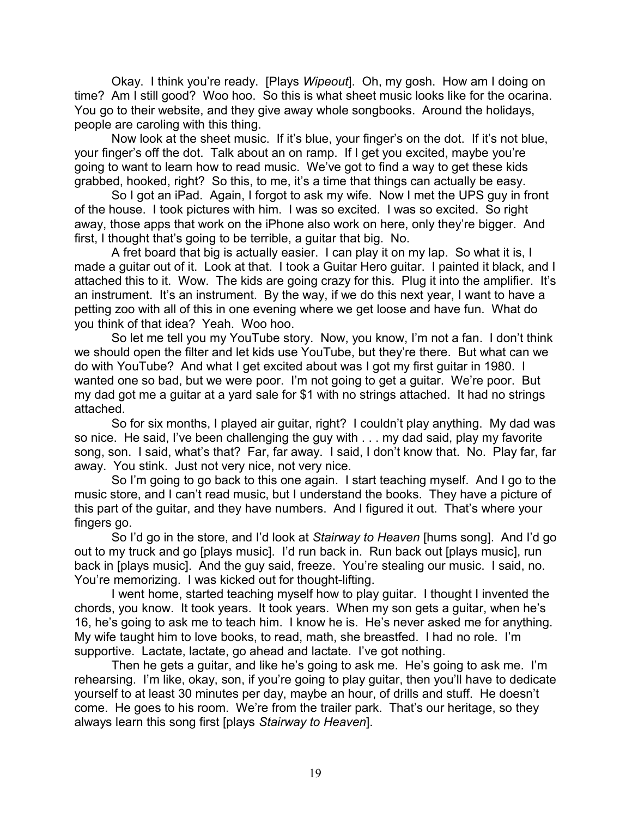Okay. I think you're ready. [Plays *Wipeout*]. Oh, my gosh. How am I doing on time? Am I still good? Woo hoo. So this is what sheet music looks like for the ocarina. You go to their website, and they give away whole songbooks. Around the holidays, people are caroling with this thing.

Now look at the sheet music. If it's blue, your finger's on the dot. If it's not blue, your finger's off the dot. Talk about an on ramp. If I get you excited, maybe you're going to want to learn how to read music. We've got to find a way to get these kids grabbed, hooked, right? So this, to me, it's a time that things can actually be easy.

So I got an iPad. Again, I forgot to ask my wife. Now I met the UPS guy in front of the house. I took pictures with him. I was so excited. I was so excited. So right away, those apps that work on the iPhone also work on here, only they're bigger. And first, I thought that's going to be terrible, a guitar that big. No.

A fret board that big is actually easier. I can play it on my lap. So what it is, I made a guitar out of it. Look at that. I took a Guitar Hero guitar. I painted it black, and I attached this to it. Wow. The kids are going crazy for this. Plug it into the amplifier. It's an instrument. It's an instrument. By the way, if we do this next year, I want to have a petting zoo with all of this in one evening where we get loose and have fun. What do you think of that idea? Yeah. Woo hoo.

So let me tell you my YouTube story. Now, you know, I'm not a fan. I don't think we should open the filter and let kids use YouTube, but they're there. But what can we do with YouTube? And what I get excited about was I got my first guitar in 1980. I wanted one so bad, but we were poor. I'm not going to get a guitar. We're poor. But my dad got me a guitar at a yard sale for \$1 with no strings attached. It had no strings attached.

So for six months, I played air guitar, right? I couldn't play anything. My dad was so nice. He said, I've been challenging the guy with . . . my dad said, play my favorite song, son. I said, what's that? Far, far away. I said, I don't know that. No. Play far, far away. You stink. Just not very nice, not very nice.

So I'm going to go back to this one again. I start teaching myself. And I go to the music store, and I can't read music, but I understand the books. They have a picture of this part of the guitar, and they have numbers. And I figured it out. That's where your fingers go.

So I'd go in the store, and I'd look at *Stairway to Heaven* [hums song]. And I'd go out to my truck and go [plays music]. I'd run back in. Run back out [plays music], run back in [plays music]. And the guy said, freeze. You're stealing our music. I said, no. You're memorizing. I was kicked out for thought-lifting.

I went home, started teaching myself how to play guitar. I thought I invented the chords, you know. It took years. It took years. When my son gets a guitar, when he's 16, he's going to ask me to teach him. I know he is. He's never asked me for anything. My wife taught him to love books, to read, math, she breastfed. I had no role. I'm supportive. Lactate, lactate, go ahead and lactate. I've got nothing.

Then he gets a guitar, and like he's going to ask me. He's going to ask me. I'm rehearsing. I'm like, okay, son, if you're going to play guitar, then you'll have to dedicate yourself to at least 30 minutes per day, maybe an hour, of drills and stuff. He doesn't come. He goes to his room. We're from the trailer park. That's our heritage, so they always learn this song first [plays *Stairway to Heaven*].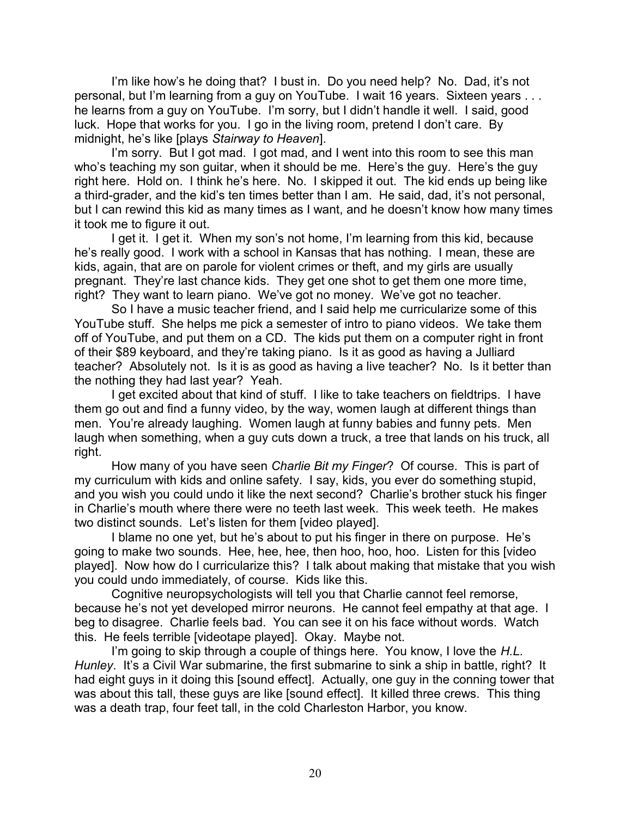I'm like how's he doing that? I bust in. Do you need help? No. Dad, it's not personal, but I'm learning from a guy on YouTube. I wait 16 years. Sixteen years . . . he learns from a guy on YouTube. I'm sorry, but I didn't handle it well. I said, good luck. Hope that works for you. I go in the living room, pretend I don't care. By midnight, he's like [plays *Stairway to Heaven*].

I'm sorry. But I got mad. I got mad, and I went into this room to see this man who's teaching my son guitar, when it should be me. Here's the guy. Here's the guy right here. Hold on. I think he's here. No. I skipped it out. The kid ends up being like a third-grader, and the kid's ten times better than I am. He said, dad, it's not personal, but I can rewind this kid as many times as I want, and he doesn't know how many times it took me to figure it out.

I get it. I get it. When my son's not home, I'm learning from this kid, because he's really good. I work with a school in Kansas that has nothing. I mean, these are kids, again, that are on parole for violent crimes or theft, and my girls are usually pregnant. They're last chance kids. They get one shot to get them one more time, right? They want to learn piano. We've got no money. We've got no teacher.

So I have a music teacher friend, and I said help me curricularize some of this YouTube stuff. She helps me pick a semester of intro to piano videos. We take them off of YouTube, and put them on a CD. The kids put them on a computer right in front of their \$89 keyboard, and they're taking piano. Is it as good as having a Julliard teacher? Absolutely not. Is it is as good as having a live teacher? No. Is it better than the nothing they had last year? Yeah.

I get excited about that kind of stuff. I like to take teachers on fieldtrips. I have them go out and find a funny video, by the way, women laugh at different things than men. You're already laughing. Women laugh at funny babies and funny pets. Men laugh when something, when a guy cuts down a truck, a tree that lands on his truck, all right.

How many of you have seen *Charlie Bit my Finger*? Of course. This is part of my curriculum with kids and online safety. I say, kids, you ever do something stupid, and you wish you could undo it like the next second? Charlie's brother stuck his finger in Charlie's mouth where there were no teeth last week. This week teeth. He makes two distinct sounds. Let's listen for them [video played].

I blame no one yet, but he's about to put his finger in there on purpose. He's going to make two sounds. Hee, hee, hee, then hoo, hoo, hoo. Listen for this [video played]. Now how do I curricularize this? I talk about making that mistake that you wish you could undo immediately, of course. Kids like this.

Cognitive neuropsychologists will tell you that Charlie cannot feel remorse, because he's not yet developed mirror neurons. He cannot feel empathy at that age. I beg to disagree. Charlie feels bad. You can see it on his face without words. Watch this. He feels terrible [videotape played]. Okay. Maybe not.

I'm going to skip through a couple of things here. You know, I love the *H.L. Hunley.* It's a Civil War submarine, the first submarine to sink a ship in battle, right? It had eight guys in it doing this [sound effect]. Actually, one guy in the conning tower that was about this tall, these guys are like [sound effect]. It killed three crews. This thing was a death trap, four feet tall, in the cold Charleston Harbor, you know.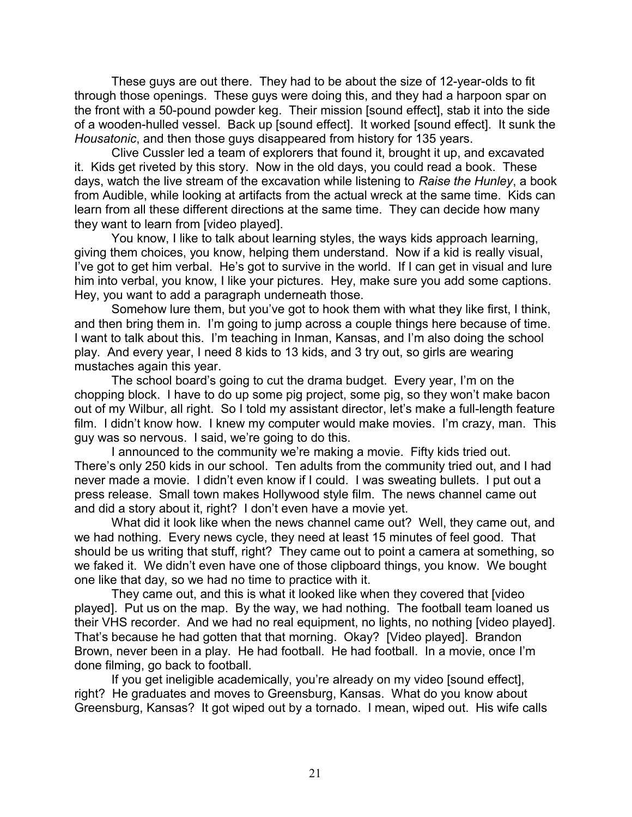These guys are out there. They had to be about the size of 12-year-olds to fit through those openings. These guys were doing this, and they had a harpoon spar on the front with a 50-pound powder keg. Their mission [sound effect], stab it into the side of a wooden-hulled vessel. Back up [sound effect]. It worked [sound effect]. It sunk the *Housatonic*, and then those guys disappeared from history for 135 years.

Clive Cussler led a team of explorers that found it, brought it up, and excavated it. Kids get riveted by this story. Now in the old days, you could read a book. These days, watch the live stream of the excavation while listening to *Raise the Hunley*, a book from Audible, while looking at artifacts from the actual wreck at the same time. Kids can learn from all these different directions at the same time. They can decide how many they want to learn from [video played].

You know, I like to talk about learning styles, the ways kids approach learning, giving them choices, you know, helping them understand. Now if a kid is really visual, I've got to get him verbal. He's got to survive in the world. If I can get in visual and lure him into verbal, you know, I like your pictures. Hey, make sure you add some captions. Hey, you want to add a paragraph underneath those.

Somehow lure them, but you've got to hook them with what they like first, I think, and then bring them in. I'm going to jump across a couple things here because of time. I want to talk about this. I'm teaching in Inman, Kansas, and I'm also doing the school play. And every year, I need 8 kids to 13 kids, and 3 try out, so girls are wearing mustaches again this year.

The school board's going to cut the drama budget. Every year, I'm on the chopping block. I have to do up some pig project, some pig, so they won't make bacon out of my Wilbur, all right. So I told my assistant director, let's make a full-length feature film. I didn't know how. I knew my computer would make movies. I'm crazy, man. This guy was so nervous. I said, we're going to do this.

I announced to the community we're making a movie. Fifty kids tried out. There's only 250 kids in our school. Ten adults from the community tried out, and I had never made a movie. I didn't even know if I could. I was sweating bullets. I put out a press release. Small town makes Hollywood style film. The news channel came out and did a story about it, right? I don't even have a movie yet.

What did it look like when the news channel came out? Well, they came out, and we had nothing. Every news cycle, they need at least 15 minutes of feel good. That should be us writing that stuff, right? They came out to point a camera at something, so we faked it. We didn't even have one of those clipboard things, you know. We bought one like that day, so we had no time to practice with it.

They came out, and this is what it looked like when they covered that [video played]. Put us on the map. By the way, we had nothing. The football team loaned us their VHS recorder. And we had no real equipment, no lights, no nothing [video played]. That's because he had gotten that that morning. Okay? [Video played]. Brandon Brown, never been in a play. He had football. He had football. In a movie, once I'm done filming, go back to football.

If you get ineligible academically, you're already on my video [sound effect], right? He graduates and moves to Greensburg, Kansas. What do you know about Greensburg, Kansas? It got wiped out by a tornado. I mean, wiped out. His wife calls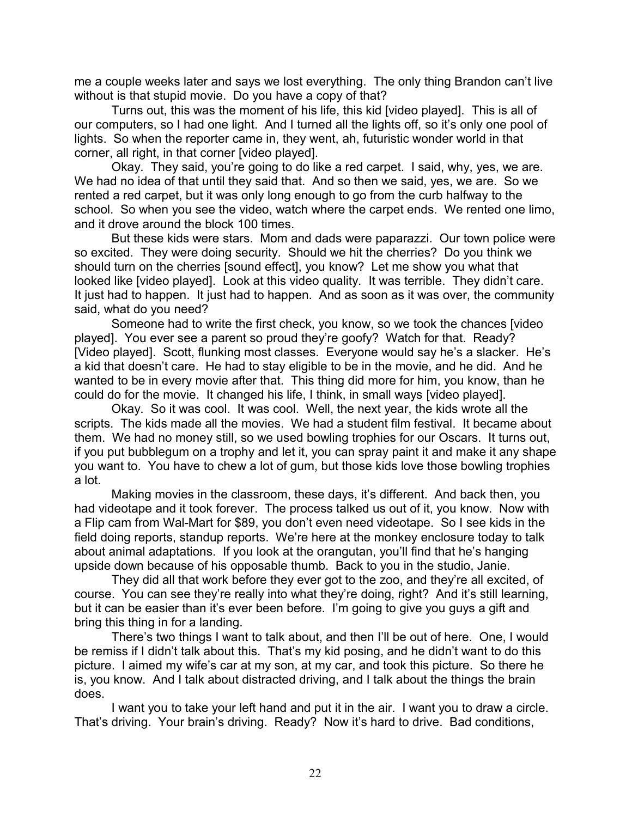me a couple weeks later and says we lost everything. The only thing Brandon can't live without is that stupid movie. Do you have a copy of that?

Turns out, this was the moment of his life, this kid [video played]. This is all of our computers, so I had one light. And I turned all the lights off, so it's only one pool of lights. So when the reporter came in, they went, ah, futuristic wonder world in that corner, all right, in that corner [video played].

Okay. They said, you're going to do like a red carpet. I said, why, yes, we are. We had no idea of that until they said that. And so then we said, yes, we are. So we rented a red carpet, but it was only long enough to go from the curb halfway to the school. So when you see the video, watch where the carpet ends. We rented one limo, and it drove around the block 100 times.

But these kids were stars. Mom and dads were paparazzi. Our town police were so excited. They were doing security. Should we hit the cherries? Do you think we should turn on the cherries [sound effect], you know? Let me show you what that looked like [video played]. Look at this video quality. It was terrible. They didn't care. It just had to happen. It just had to happen. And as soon as it was over, the community said, what do you need?

Someone had to write the first check, you know, so we took the chances [video played]. You ever see a parent so proud they're goofy? Watch for that. Ready? [Video played]. Scott, flunking most classes. Everyone would say he's a slacker. He's a kid that doesn't care. He had to stay eligible to be in the movie, and he did. And he wanted to be in every movie after that. This thing did more for him, you know, than he could do for the movie. It changed his life, I think, in small ways [video played].

Okay. So it was cool. It was cool. Well, the next year, the kids wrote all the scripts. The kids made all the movies. We had a student film festival. It became about them. We had no money still, so we used bowling trophies for our Oscars. It turns out, if you put bubblegum on a trophy and let it, you can spray paint it and make it any shape you want to. You have to chew a lot of gum, but those kids love those bowling trophies a lot.

Making movies in the classroom, these days, it's different. And back then, you had videotape and it took forever. The process talked us out of it, you know. Now with a Flip cam from Wal-Mart for \$89, you don't even need videotape. So I see kids in the field doing reports, standup reports. We're here at the monkey enclosure today to talk about animal adaptations. If you look at the orangutan, you'll find that he's hanging upside down because of his opposable thumb. Back to you in the studio, Janie.

They did all that work before they ever got to the zoo, and they're all excited, of course. You can see they're really into what they're doing, right? And it's still learning, but it can be easier than it's ever been before. I'm going to give you guys a gift and bring this thing in for a landing.

There's two things I want to talk about, and then I'll be out of here. One, I would be remiss if I didn't talk about this. That's my kid posing, and he didn't want to do this picture. I aimed my wife's car at my son, at my car, and took this picture. So there he is, you know. And I talk about distracted driving, and I talk about the things the brain does.

I want you to take your left hand and put it in the air. I want you to draw a circle. That's driving. Your brain's driving. Ready? Now it's hard to drive. Bad conditions,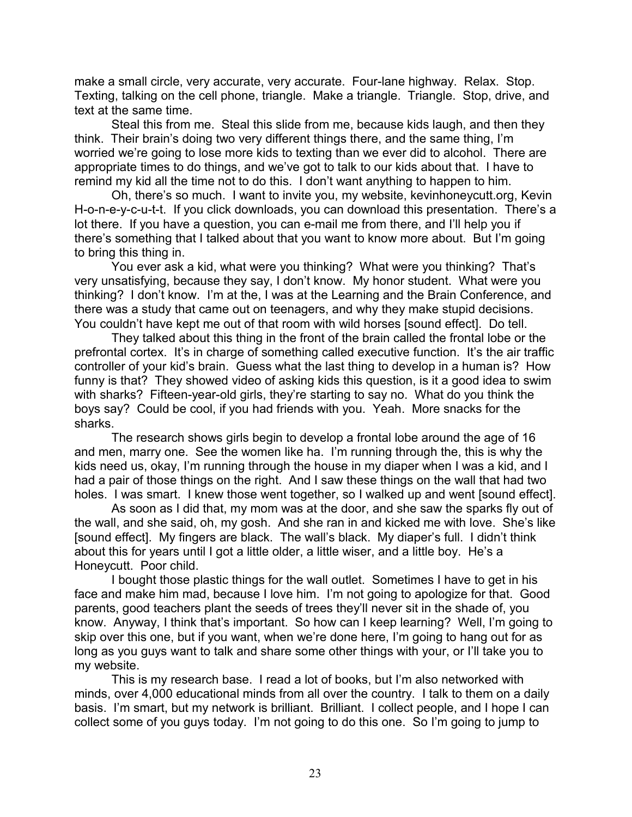make a small circle, very accurate, very accurate. Four-lane highway. Relax. Stop. Texting, talking on the cell phone, triangle. Make a triangle. Triangle. Stop, drive, and text at the same time.

Steal this from me. Steal this slide from me, because kids laugh, and then they think. Their brain's doing two very different things there, and the same thing, I'm worried we're going to lose more kids to texting than we ever did to alcohol. There are appropriate times to do things, and we've got to talk to our kids about that. I have to remind my kid all the time not to do this. I don't want anything to happen to him.

Oh, there's so much. I want to invite you, my website, kevinhoneycutt.org, Kevin H-o-n-e-y-c-u-t-t. If you click downloads, you can download this presentation. There's a lot there. If you have a question, you can e-mail me from there, and I'll help you if there's something that I talked about that you want to know more about. But I'm going to bring this thing in.

You ever ask a kid, what were you thinking? What were you thinking? That's very unsatisfying, because they say, I don't know. My honor student. What were you thinking? I don't know. I'm at the, I was at the Learning and the Brain Conference, and there was a study that came out on teenagers, and why they make stupid decisions. You couldn't have kept me out of that room with wild horses [sound effect]. Do tell.

They talked about this thing in the front of the brain called the frontal lobe or the prefrontal cortex. It's in charge of something called executive function. It's the air traffic controller of your kid's brain. Guess what the last thing to develop in a human is? How funny is that? They showed video of asking kids this question, is it a good idea to swim with sharks? Fifteen-year-old girls, they're starting to say no. What do you think the boys say? Could be cool, if you had friends with you. Yeah. More snacks for the sharks.

The research shows girls begin to develop a frontal lobe around the age of 16 and men, marry one. See the women like ha. I'm running through the, this is why the kids need us, okay, I'm running through the house in my diaper when I was a kid, and I had a pair of those things on the right. And I saw these things on the wall that had two holes. I was smart. I knew those went together, so I walked up and went [sound effect].

As soon as I did that, my mom was at the door, and she saw the sparks fly out of the wall, and she said, oh, my gosh. And she ran in and kicked me with love. She's like [sound effect]. My fingers are black. The wall's black. My diaper's full. I didn't think about this for years until I got a little older, a little wiser, and a little boy. He's a Honeycutt. Poor child.

I bought those plastic things for the wall outlet. Sometimes I have to get in his face and make him mad, because I love him. I'm not going to apologize for that. Good parents, good teachers plant the seeds of trees they'll never sit in the shade of, you know. Anyway, I think that's important. So how can I keep learning? Well, I'm going to skip over this one, but if you want, when we're done here, I'm going to hang out for as long as you guys want to talk and share some other things with your, or I'll take you to my website.

This is my research base. I read a lot of books, but I'm also networked with minds, over 4,000 educational minds from all over the country. I talk to them on a daily basis. I'm smart, but my network is brilliant. Brilliant. I collect people, and I hope I can collect some of you guys today. I'm not going to do this one. So I'm going to jump to